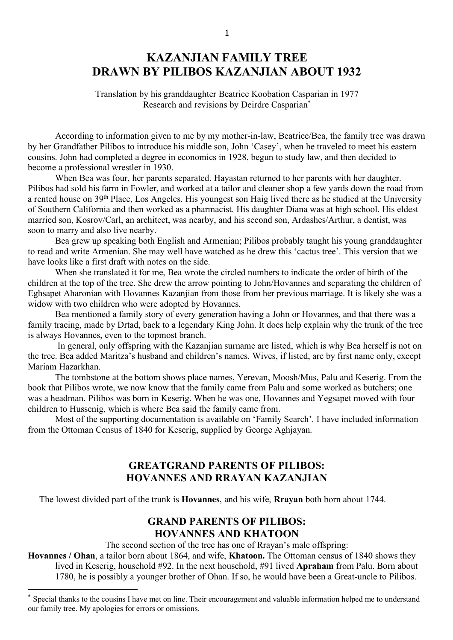# **KAZANJIAN FAMILY TREE DRAWN BY PILIBOS KAZANJIAN ABOUT 1932**

Translation by his granddaughter Beatrice Koobation Casparian in 1977 Research and revisions by Deirdre Casparian\*

 According to information given to me by my mother-in-law, Beatrice/Bea, the family tree was drawn by her Grandfather Pilibos to introduce his middle son, John 'Casey', when he traveled to meet his eastern cousins. John had completed a degree in economics in 1928, begun to study law, and then decided to become a professional wrestler in 1930.

When Bea was four, her parents separated. Hayastan returned to her parents with her daughter. Pilibos had sold his farm in Fowler, and worked at a tailor and cleaner shop a few yards down the road from a rented house on 39th Place, Los Angeles. His youngest son Haig lived there as he studied at the University of Southern California and then worked as a pharmacist. His daughter Diana was at high school. His eldest married son, Kosrov/Carl, an architect, was nearby, and his second son, Ardashes/Arthur, a dentist, was soon to marry and also live nearby.

Bea grew up speaking both English and Armenian; Pilibos probably taught his young granddaughter to read and write Armenian. She may well have watched as he drew this 'cactus tree'. This version that we have looks like a first draft with notes on the side.

 When she translated it for me, Bea wrote the circled numbers to indicate the order of birth of the children at the top of the tree. She drew the arrow pointing to John/Hovannes and separating the children of Eghsapet Aharonian with Hovannes Kazanjian from those from her previous marriage. It is likely she was a widow with two children who were adopted by Hovannes.

Bea mentioned a family story of every generation having a John or Hovannes, and that there was a family tracing, made by Drtad, back to a legendary King John. It does help explain why the trunk of the tree is always Hovannes, even to the topmost branch.

 In general, only offspring with the Kazanjian surname are listed, which is why Bea herself is not on the tree. Bea added Maritza's husband and children's names. Wives, if listed, are by first name only, except Mariam Hazarkhan.

 The tombstone at the bottom shows place names, Yerevan, Moosh/Mus, Palu and Keserig. From the book that Pilibos wrote, we now know that the family came from Palu and some worked as butchers; one was a headman. Pilibos was born in Keserig. When he was one, Hovannes and Yegsapet moved with four children to Hussenig, which is where Bea said the family came from.

Most of the supporting documentation is available on 'Family Search'. I have included information from the Ottoman Census of 1840 for Keserig, supplied by George Aghjayan.

## **GREATGRAND PARENTS OF PILIBOS: HOVANNES AND RRAYAN KAZANJIAN**

The lowest divided part of the trunk is **Hovannes**, and his wife, **Rrayan** both born about 1744.

## **GRAND PARENTS OF PILIBOS: HOVANNES AND KHATOON**

The second section of the tree has one of Rrayan's male offspring:

**Hovannes / Ohan**, a tailor born about 1864, and wife, **Khatoon.** The Ottoman census of 1840 shows they lived in Keserig, household #92. In the next household, #91 lived **Apraham** from Palu. Born about 1780, he is possibly a younger brother of Ohan. If so, he would have been a Great-uncle to Pilibos.

 

Special thanks to the cousins I have met on line. Their encouragement and valuable information helped me to understand our family tree. My apologies for errors or omissions.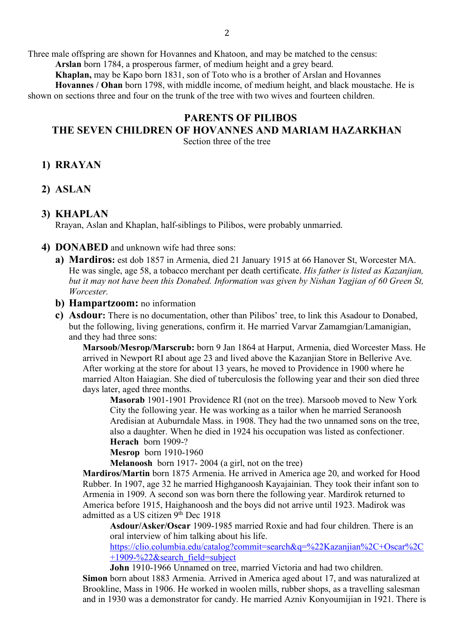Three male offspring are shown for Hovannes and Khatoon, and may be matched to the census:

**Arslan** born 1784, a prosperous farmer, of medium height and a grey beard.

**Khaplan,** may be Kapo born 1831, son of Toto who is a brother of Arslan and Hovannes

**Hovannes / Ohan** born 1798, with middle income, of medium height, and black moustache. He is shown on sections three and four on the trunk of the tree with two wives and fourteen children.

## **PARENTS OF PILIBOS THE SEVEN CHILDREN OF HOVANNES AND MARIAM HAZARKHAN**

Section three of the tree

## **1) RRAYAN**

**2) ASLAN**

### **3) KHAPLAN**

Rrayan, Aslan and Khaplan, half-siblings to Pilibos, were probably unmarried.

- **4) DONABED** and unknown wife had three sons:
	- **a) Mardiros:** est dob 1857 in Armenia, died 21 January 1915 at 66 Hanover St, Worcester MA. He was single, age 58, a tobacco merchant per death certificate. *His father is listed as Kazanjian, but it may not have been this Donabed. Information was given by Nishan Yagjian of 60 Green St, Worcester.*
	- **b) Hampartzoom:** no information
	- **c) Asdour:** There is no documentation, other than Pilibos' tree, to link this Asadour to Donabed, but the following, living generations, confirm it. He married Varvar Zamamgian/Lamanigian, and they had three sons:

**Marsoob/Mesrop/Marscrub:** born 9 Jan 1864 at Harput, Armenia, died Worcester Mass. He arrived in Newport RI about age 23 and lived above the Kazanjian Store in Bellerive Ave. After working at the store for about 13 years, he moved to Providence in 1900 where he married Alton Haiagian. She died of tuberculosis the following year and their son died three days later, aged three months.

**Masorab** 1901-1901 Providence RI (not on the tree). Marsoob moved to New York City the following year. He was working as a tailor when he married Seranoosh Aredisian at Auburndale Mass. in 1908. They had the two unnamed sons on the tree, also a daughter. When he died in 1924 his occupation was listed as confectioner. **Herach** born 1909-?

**Mesrop** born 1910-1960

**Melanoosh** born 1917- 2004 (a girl, not on the tree)

**Mardiros/Martin** born 1875 Armenia. He arrived in America age 20, and worked for Hood Rubber. In 1907, age 32 he married Highganoosh Kayajainian. They took their infant son to Armenia in 1909. A second son was born there the following year. Mardirok returned to America before 1915, Haighanoosh and the boys did not arrive until 1923. Madirok was admitted as a US citizen  $9<sup>th</sup>$  Dec 1918

**Asdour/Asker/Oscar** 1909-1985 married Roxie and had four children. There is an oral interview of him talking about his life.

https://clio.columbia.edu/catalog?commit=search&q=%22Kazanjian%2C+Oscar%2C  $+1909-\frac{22}{x}$ search field=subject

**John** 1910-1966 Unnamed on tree, married Victoria and had two children. **Simon** born about 1883 Armenia. Arrived in America aged about 17, and was naturalized at Brookline, Mass in 1906. He worked in woolen mills, rubber shops, as a travelling salesman and in 1930 was a demonstrator for candy. He married Azniv Konyoumijian in 1921. There is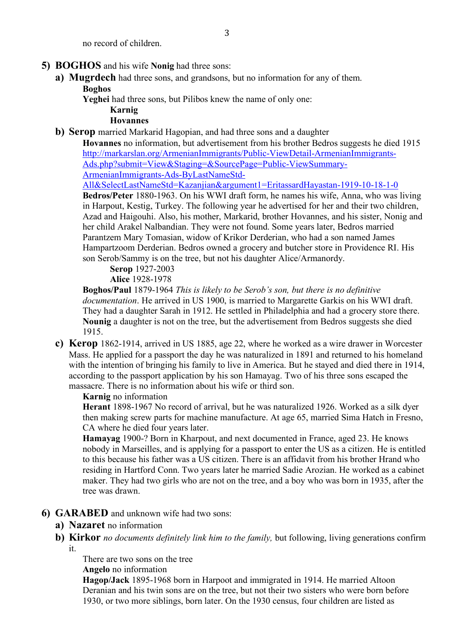no record of children.

### **5) BOGHOS** and his wife **Nonig** had three sons:

**a) Mugrdech** had three sons, and grandsons, but no information for any of them. **Boghos**

**Yeghei** had three sons, but Pilibos knew the name of only one:

#### **Karnig Hovannes**

**b) Serop** married Markarid Hagopian, and had three sons and a daughter

**Hovannes** no information, but advertisement from his brother Bedros suggests he died 1915 http://markarslan.org/ArmenianImmigrants/Public-ViewDetail-ArmenianImmigrants-Ads.php?submit=View&Staging=&SourcePage=Public-ViewSummary-ArmenianImmigrants-Ads-ByLastNameStd-

All&SelectLastNameStd=Kazanjian&argument1=EritassardHayastan-1919-10-18-1-0

**Bedros/Peter** 1880-1963. On his WWI draft form, he names his wife, Anna, who was living in Harpout, Kestig, Turkey. The following year he advertised for her and their two children, Azad and Haigouhi. Also, his mother, Markarid, brother Hovannes, and his sister, Nonig and her child Arakel Nalbandian. They were not found. Some years later, Bedros married Parantzem Mary Tomasian, widow of Krikor Derderian, who had a son named James Hampartzoom Derderian. Bedros owned a grocery and butcher store in Providence RI. His son Serob/Sammy is on the tree, but not his daughter Alice/Armanordy.

**Serop** 1927-2003

**Alice** 1928-1978

**Boghos/Paul** 1879-1964 *This is likely to be Serob's son, but there is no definitive documentation*. He arrived in US 1900, is married to Margarette Garkis on his WWI draft. They had a daughter Sarah in 1912. He settled in Philadelphia and had a grocery store there. **Nounig** a daughter is not on the tree, but the advertisement from Bedros suggests she died 1915.

**c) Kerop** 1862-1914, arrived in US 1885, age 22, where he worked as a wire drawer in Worcester Mass. He applied for a passport the day he was naturalized in 1891 and returned to his homeland with the intention of bringing his family to live in America. But he stayed and died there in 1914, according to the passport application by his son Hamayag. Two of his three sons escaped the massacre. There is no information about his wife or third son.

### **Karnig** no information

**Herant** 1898-1967 No record of arrival, but he was naturalized 1926. Worked as a silk dyer then making screw parts for machine manufacture. At age 65, married Sima Hatch in Fresno, CA where he died four years later.

**Hamayag** 1900-? Born in Kharpout, and next documented in France, aged 23. He knows nobody in Marseilles, and is applying for a passport to enter the US as a citizen. He is entitled to this because his father was a US citizen. There is an affidavit from his brother Hrand who residing in Hartford Conn. Two years later he married Sadie Arozian. He worked as a cabinet maker. They had two girls who are not on the tree, and a boy who was born in 1935, after the tree was drawn.

### **6) GARABED** and unknown wife had two sons:

### **a) Nazaret** no information

**b) Kirkor** *no documents definitely link him to the family,* but following, living generations confirm it.

There are two sons on the tree **Angelo** no information

**Hagop/Jack** 1895-1968 born in Harpoot and immigrated in 1914. He married Altoon Deranian and his twin sons are on the tree, but not their two sisters who were born before 1930, or two more siblings, born later. On the 1930 census, four children are listed as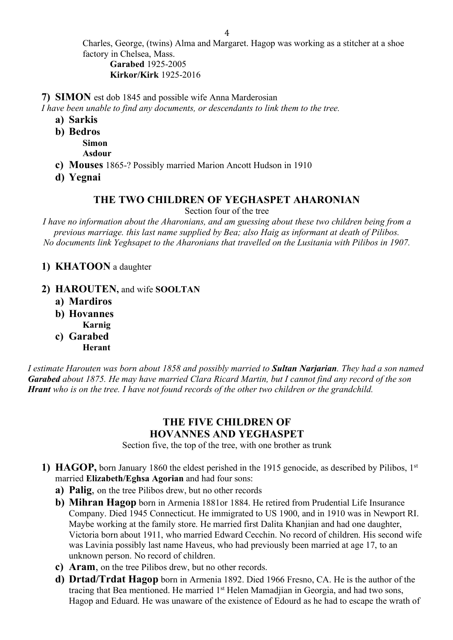Charles, George, (twins) Alma and Margaret. Hagop was working as a stitcher at a shoe factory in Chelsea, Mass. **Garabed** 1925-2005

**Kirkor/Kirk** 1925-2016

**7) SIMON** est dob 1845 and possible wife Anna Marderosian

*I have been unable to find any documents, or descendants to link them to the tree.*

- **a) Sarkis**
- **b) Bedros Simon**

**Asdour**

- **c) Mouses** 1865-? Possibly married Marion Ancott Hudson in 1910
- **d) Yegnai**

## **THE TWO CHILDREN OF YEGHASPET AHARONIAN**

Section four of the tree

*I have no information about the Aharonians, and am guessing about these two children being from a previous marriage. this last name supplied by Bea; also Haig as informant at death of Pilibos. No documents link Yeghsapet to the Aharonians that travelled on the Lusitania with Pilibos in 1907.* 

### **1) KHATOON** a daughter

- **2) HAROUTEN,** and wife **SOOLTAN**
	- **a) Mardiros**
	- **b) Hovannes Karnig**
	- **c) Garabed**

**Herant**

*I estimate Harouten was born about 1858 and possibly married to Sultan Narjarian. They had a son named Garabed about 1875. He may have married Clara Ricard Martin, but I cannot find any record of the son Hrant who is on the tree. I have not found records of the other two children or the grandchild.* 

## **THE FIVE CHILDREN OF HOVANNES AND YEGHASPET**

Section five, the top of the tree, with one brother as trunk

- **1) HAGOP,** born January 1860 the eldest perished in the 1915 genocide, as described by Pilibos, 1st married **Elizabeth/Eghsa Agorian** and had four sons:
	- **a) Palig**, on the tree Pilibos drew, but no other records
	- **b) Mihran Hagop** born in Armenia 1881or 1884. He retired from Prudential Life Insurance Company. Died 1945 Connecticut. He immigrated to US 1900, and in 1910 was in Newport RI. Maybe working at the family store. He married first Dalita Khanjian and had one daughter, Victoria born about 1911, who married Edward Cecchin. No record of children. His second wife was Lavinia possibly last name Haveus, who had previously been married at age 17, to an unknown person. No record of children.
	- **c) Aram**, on the tree Pilibos drew, but no other records.
	- **d) Drtad/Trdat Hagop** born in Armenia 1892. Died 1966 Fresno, CA. He is the author of the tracing that Bea mentioned. He married 1st Helen Mamadjian in Georgia, and had two sons, Hagop and Eduard. He was unaware of the existence of Edourd as he had to escape the wrath of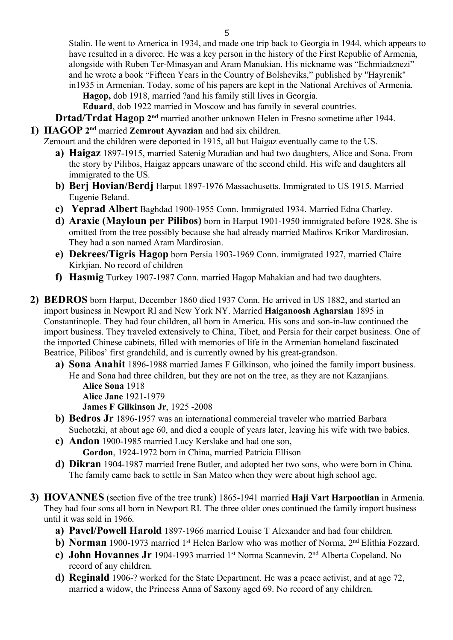Stalin. He went to America in 1934, and made one trip back to Georgia in 1944, which appears to have resulted in a divorce. He was a key person in the history of the First Republic of Armenia, alongside with Ruben Ter-Minasyan and Aram Manukian. His nickname was "Echmiadznezi" and he wrote a book "Fifteen Years in the Country of Bolsheviks," published by "Hayrenik" in1935 in Armenian. Today, some of his papers are kept in the National Archives of Armenia.

**Hagop,** dob 1918, married ?and his family still lives in Georgia.

**Eduard**, dob 1922 married in Moscow and has family in several countries.

- **Drtad/Trdat Hagop 2nd** married another unknown Helen in Fresno sometime after 1944.
- **1) HAGOP 2nd** married **Zemrout Ayvazian** and had six children.

Zemourt and the children were deported in 1915, all but Haigaz eventually came to the US.

- **a) Haigaz** 1897-1915, married Satenig Muradian and had two daughters, Alice and Sona. From the story by Pilibos, Haigaz appears unaware of the second child. His wife and daughters all immigrated to the US.
- **b) Berj Hovian/Berdj** Harput 1897-1976 Massachusetts. Immigrated to US 1915. Married Eugenie Beland.
- **c) Yeprad Albert** Baghdad 1900-1955 Conn. Immigrated 1934. Married Edna Charley.
- **d) Araxie (Mayloun per Pilibos)** born in Harput 1901-1950 immigrated before 1928. She is omitted from the tree possibly because she had already married Madiros Krikor Mardirosian. They had a son named Aram Mardirosian.
- **e) Dekrees/Tigris Hagop** born Persia 1903-1969 Conn. immigrated 1927, married Claire Kirkjian. No record of children
- **f) Hasmig** Turkey 1907-1987 Conn. married Hagop Mahakian and had two daughters.
- **2) BEDROS** born Harput, December 1860 died 1937 Conn. He arrived in US 1882, and started an import business in Newport RI and New York NY. Married **Haiganoosh Agharsian** 1895 in Constantinople. They had four children, all born in America. His sons and son-in-law continued the import business. They traveled extensively to China, Tibet, and Persia for their carpet business. One of the imported Chinese cabinets, filled with memories of life in the Armenian homeland fascinated Beatrice, Pilibos' first grandchild, and is currently owned by his great-grandson.
	- **a) Sona Anahit** 1896-1988 married James F Gilkinson, who joined the family import business. He and Sona had three children, but they are not on the tree, as they are not Kazanjians. **Alice Sona** 1918

**Alice Jane** 1921-1979

**James F Gilkinson Jr**, 1925 -2008

- **b) Bedros Jr** 1896-1957 was an international commercial traveler who married Barbara Suchotzki, at about age 60, and died a couple of years later, leaving his wife with two babies.
- **c) Andon** 1900-1985 married Lucy Kerslake and had one son, **Gordon**, 1924-1972 born in China, married Patricia Ellison
- **d) Dikran** 1904-1987 married Irene Butler, and adopted her two sons, who were born in China. The family came back to settle in San Mateo when they were about high school age.
- **3) HOVANNES** (section five of the tree trunk) 1865-1941 married **Haji Vart Harpootlian** in Armenia. They had four sons all born in Newport RI. The three older ones continued the family import business until it was sold in 1966.
	- **a) Pavel/Powell Harold** 1897-1966 married Louise T Alexander and had four children.
	- **b) Norman** 1900-1973 married 1<sup>st</sup> Helen Barlow who was mother of Norma, 2<sup>nd</sup> Elithia Fozzard.
	- **c) John Hovannes Jr** 1904-1993 married 1st Norma Scannevin, 2nd Alberta Copeland. No record of any children.
	- **d) Reginald** 1906-? worked for the State Department. He was a peace activist, and at age 72, married a widow, the Princess Anna of Saxony aged 69. No record of any children.